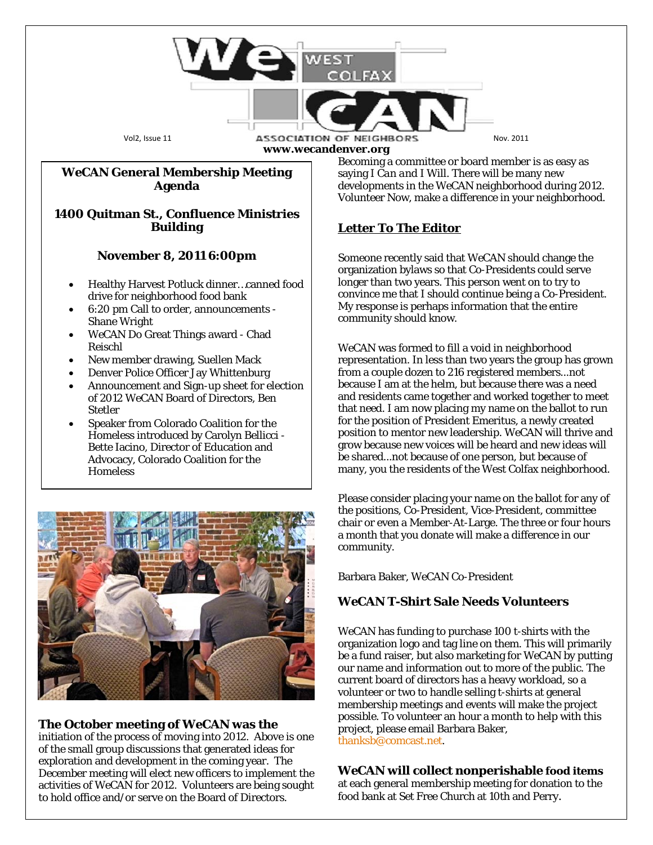

Bette Iacino, Director of Education and Advocacy, Colorado Coalition for the **Homeless** 



## **The October meeting of** *WeCAN* **was the**

initiation of the process of moving into 2012. Above is one of the small group discussions that generated ideas for exploration and development in the coming year. The December meeting will elect new officers to implement the activities of *WeCAN* for 2012. Volunteers are being sought to hold office and/or serve on the Board of Directors.

Please consider placing your name on the ballot for any of the positions, Co-President, Vice-President, committee chair or even a Member-At-Large. The three or four hours a month that you donate will make a difference in our community.

be shared...not because of one person, but because of many, you the residents of the West Colfax neighborhood.

Barbara Baker, *WeCAN* Co-President

## *WeCAN* **T-Shirt Sale Needs Volunteers**

*WeCAN* has funding to purchase 100 t-shirts with the organization logo and tag line on them. This will primarily be a fund raiser, but also marketing for *WeCAN* by putting our name and information out to more of the public. The current board of directors has a heavy workload, so a volunteer or two to handle selling t-shirts at general membership meetings and events will make the project possible. To volunteer an hour a month to help with this project, please email Barbara Baker, [thanksb@comcast.net.](mailto:thanksb@comcast.net)

# *WeCAN* **will collect nonperishable food items**

at each general membership meeting for donation to the food bank at Set Free Church at 10th and Perry.